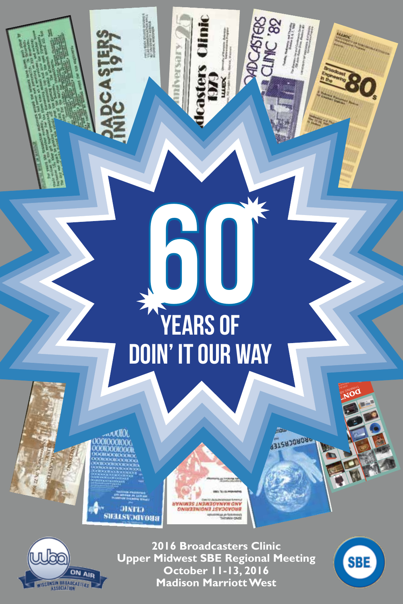## **60 Years of Doin' it our way**

iver.

ЭІХГІЭ **BROADCASTER**  *UNIMARY THEME SEMINAR ONIN33NION3 ISVOOVOUS* **Mujo Kett** 



**2016 Broadcasters Clinic Upper Midwest SBE Regional Meeting October 11-13, 2016 Madison Marriott West**



**DON'T STOP** 2015 Broadcasters Clinical Broadcasters Clinical Broadcasters Clinical Broadcasters Clinical Broadcasters Clin<br>2015 Broadcasters Clinical Broadcasters Clinical Broadcasters Clinical Broadcasters Clinical Broadcasters Clin<br> THE SWAMP OF SHIPPER National Meeting of the SBE

**SASASORORP**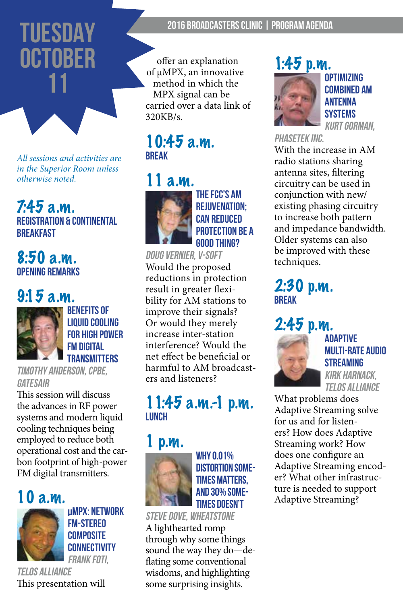## **TUESDAY OCTOBER 11**

*All sessions and activities are in the Superior Room unless otherwise noted.*

#### 7:45 a.m. **Registration & Continental Breakfast**

#### $8:50a.m.$ **Opening Remarks**

## 9:15 a.m.



**Benefits of liquid cooling for high power Fm digital transmitters**

timothy anderson, cpbe, Gatesair

This session will discuss the advances in RF power systems and modern liquid cooling techniques being employed to reduce both operational cost and the carbon footprint of high-power FM digital transmitters.

10 a.m.



**µMPX: Network FM-Stereo Composite Connectivity FRANK FOTI** 

telos alliance This presentation will

#### 2016 Broadcasters Clinic | Program Agenda

offer an explanation of µMPX, an innovative method in which the MPX signal can be carried over a data link of 320KB/s.

#### 10:45 a.m. **Break**



**the fcc's am rejuvenation; can reduced protection be a good thing?**

#### doug vernier, V-soft

Would the proposed reductions in protection result in greater flexibility for AM stations to improve their signals? Or would they merely increase inter-station interference? Would the net effect be beneficial or harmful to AM broadcasters and listeners?

#### 11:45 a.m.-1 p.m. **Lunch**



**why 0.01% distortion sometimes matters, and 30% sometimes doesn't**

#### steve dove, wheatstone

A lighthearted romp through why some things sound the way they do—deflating some conventional wisdoms, and highlighting some surprising insights.

#### 1:45 p.m.



**optimizing combined am antenna systems** Kurt gorman,

phasetek Inc.

With the increase in AM radio stations sharing antenna sites, filtering circuitry can be used in conjunction with new/ existing phasing circuitry to increase both pattern and impedance bandwidth. Older systems can also be improved with these techniques.

#### 2:30 p.m. **Break**

## 2:45 p.m.



**adaptive multi-rate audio streaming** kirk harnack,

telos alliance

What problems does Adaptive Streaming solve for us and for listeners? How does Adaptive Streaming work? How does one configure an Adaptive Streaming encoder? What other infrastructure is needed to support Adaptive Streaming?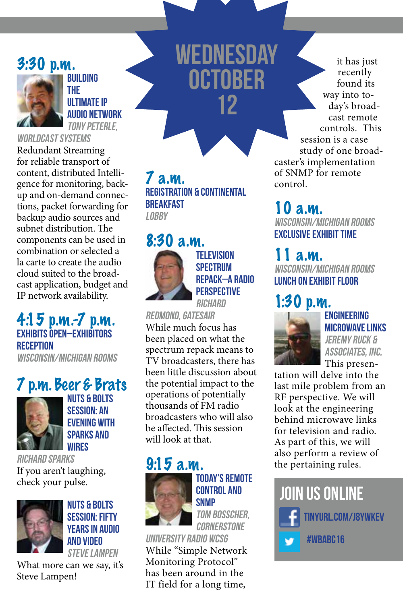#### 3:30 p.m.



**building the ultimate ip audio network** tony peterle,

worldcast systems

Redundant Streaming for reliable transport of content, distributed Intelligence for monitoring, backup and on-demand connections, packet forwarding for backup audio sources and subnet distribution. The components can be used in combination or selected a la carte to create the audio cloud suited to the broadcast application, budget and IP network availability.

4:15 p.m.-7 p.m. **Exhibits Open–Exhibitors Reception**  Wisconsin/michigan rooms

## 7 p.m. Beer & Brats



**Nuts & Bolts Session: an evening with sparks and wires**

richard sparks If you aren't laughing, check your pulse.



**Nuts & Bolts Session: fifty years in audio and video** steve lampen

What more can we say, it's Steve Lampen!

#### 7 a.m. **Registration & Continental Breakfast LOBBY**

## 8:30 a.m.



**television spectrum repack–A Radio perspective**

**wednesday**

**OCTOBER** 

**12**

**RICHARD** redmond, gatesair While much focus has been placed on what the spectrum repack means to TV broadcasters, there has been little discussion about the potential impact to the operations of potentially thousands of FM radio broadcasters who will also be affected. This session will look at that.

#### 9:15 a.m.



**today's remote control and snmp**

tom bosscher, **CORNERSTONE** 

university radio wcsg While "Simple Network Monitoring Protocol" has been around in the IT field for a long time,

it has just recently found its way into today's broadcast remote controls. This session is a case study of one broadcaster's implementation of SNMP for remote control.

10 a.m. Wisconsin/Michigan Rooms **Exclusive Exhibit Time** 

## 11 a.m.

Wisconsin/MichigaN rooms **Lunch on Exhibit Floor**

## 1:30 p.m.



**engineering microwave links** jeremy ruck & associates, inc.

This presentation will delve into the last mile problem from an RF perspective. We will look at the engineering behind microwave links for television and radio. As part of this, we will also perform a review of the pertaining rules.

**Join us online tinyurl.com/j8ywkev #wbaBC16**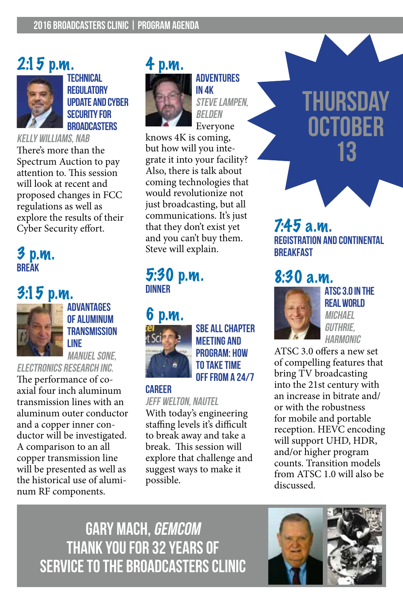## 2:15 p.m.



**technical regulatory update and cyber security for broadcasters**

kelly williams, nab There's more than the Spectrum Auction to pay attention to. This session will look at recent and proposed changes in FCC regulations as well as explore the results of their Cyber Security effort.

#### 3 p.m. **Break**

## 3:15 p.m.



**advantages of aluminum transmission line** manuel sone,

electronics research inc.

The performance of coaxial four inch aluminum transmission lines with an aluminum outer conductor and a copper inner conductor will be investigated. A comparison to an all copper transmission line will be presented as well as the historical use of aluminum RF components.



**adventures in 4k** steve lampen, belden

Everyone knows 4K is coming, but how will you integrate it into your facility? Also, there is talk about coming technologies that would revolutionize not just broadcasting, but all communications. It's just that they don't exist yet and you can't buy them. Steve will explain.

#### 5:30 p.m. **dinner**

#### 6 p.m.



**sbe all chapter meeting and program: how to take time off from a 24/7** 

#### **career**

jeff welton, nautel

With today's engineering staffing levels it's difficult to break away and take a break. This session will explore that challenge and suggest ways to make it possible.

## **thursday OCTOBER 13**

#### 7:45 a.m. **Registration and Continental Breakfast**

## 8:30 a.m.



**Atsc 3.0 in the real world MICHAEL** guthrie, **HARMONIC** 

ATSC 3.0 offers a new set of compelling features that bring TV broadcasting into the 21st century with an increase in bitrate and/ or with the robustness for mobile and portable reception. HEVC encoding will support UHD, HDR, and/or higher program counts. Transition models from ATSC 1.0 will also be discussed.

Gary Mach, GEMCOM Thank you for 32 years of Service to the Broadcasters Clinic

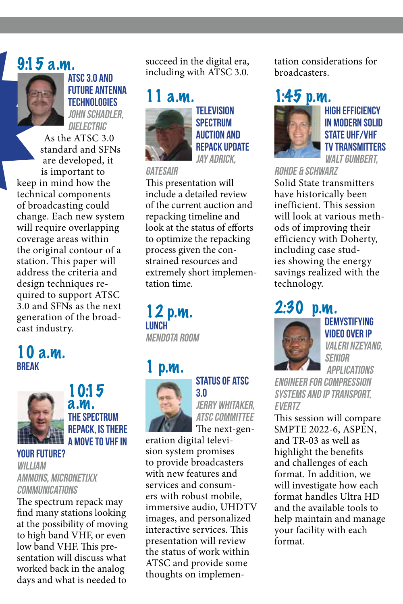## 9:15 a.m.



**atsc 3.0 and future antenna technologies** john schadler, **DIELECTRIC** 

As the ATSC 3.0 standard and SFNs are developed, it is important to keep in mind how the technical components of broadcasting could change. Each new system will require overlapping coverage areas within the original contour of a station. This paper will address the criteria and design techniques required to support ATSC 3.0 and SFNs as the next generation of the broadcast industry.

#### 10 a.m. **Break**



10:15 a.m. **the spectrum repack, is there a move to vhf in** 

#### **your future?** william ammons, micronetixx communications

The spectrum repack may find many stations looking at the possibility of moving to high band VHF, or even low band VHF. This presentation will discuss what worked back in the analog days and what is needed to

succeed in the digital era, including with ATSC 3.0.

# $1a.m.$

**television spectrum auction and repack update** Jay Adrick,

#### **GATESAIR**

This presentation will include a detailed review of the current auction and repacking timeline and look at the status of efforts to optimize the repacking process given the constrained resources and extremely short implementation time.

12 p.m. **Lunch** Mendota Room

## $\mathbf{D}.\mathbf{M}$ .



## **status of atsc**

**3.0** jerry whitaker, **ATSC COMMITTEE** The next-gen-

eration digital television system promises to provide broadcasters with new features and services and consumers with robust mobile, immersive audio, UHDTV images, and personalized interactive services. This presentation will review the status of work within ATSC and provide some thoughts on implementation considerations for broadcasters.

## 1:45 p.m.



**high efficiency in modern solid STATE UHF/VHF tv transmitters** WALT GUMBERT.

rohde & schwarz

Solid State transmitters have historically been inefficient. This session will look at various methods of improving their efficiency with Doherty, including case studies showing the energy savings realized with the technology.

## 2:30 p.m.



**demystifying video over ip** Valeri Nzeyang, Senior Applications

Engineer for Compression Systems and IP Transport, **EVERTZ** 

This session will compare SMPTE 2022-6, ASPEN, and TR-03 as well as highlight the benefits and challenges of each format. In addition, we will investigate how each format handles Ultra HD and the available tools to help maintain and manage your facility with each format.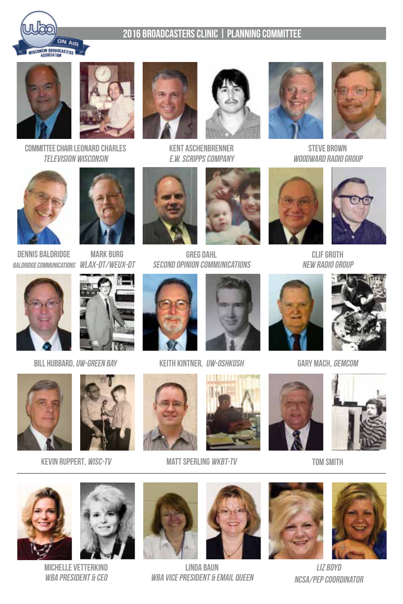

#### 2016 Broadcasters Clinic | planning committee





Committee Chair Leonard Charles Television Wisconsin











**STEVE BROWN** Woodward Radio Group



BALDRIDGE COMMUNICATIONS WLAX-DT/WEUX-DT Dennis baldridge



Mark Burg



Greg Dahl Second Opinion Communications





Clif Groth New Radio Group



Bill Hubbard, UW-Green Bay Keith Kintner, UW-Oshkosh Gary Mach, GEMCOM















KEVIN RUPPERT, *WISC-TV* MATT SPERLING WKBT-TV TOM SMITH







Michelle Vetterkind WBA PRESIDENT & CEO





Linda Baun WBA VICE PRESIDENT & EMAIL QUEEN





Liz boyd NCSA/PEP Coordinator

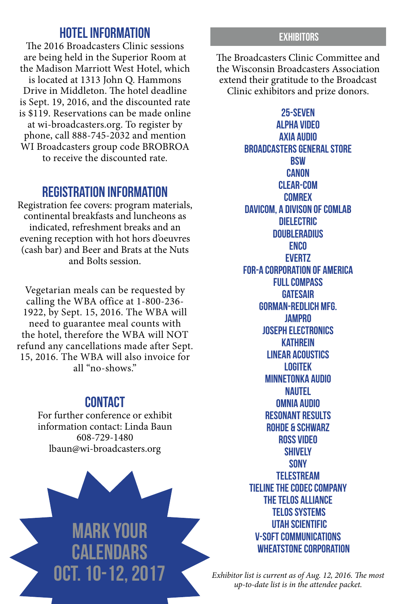#### **Hotel Information**

The 2016 Broadcasters Clinic sessions are being held in the Superior Room at the Madison Marriott West Hotel, which is located at 1313 John Q. Hammons Drive in Middleton. The hotel deadline is Sept. 19, 2016, and the discounted rate is \$119. Reservations can be made online at wi-broadcasters.org. To register by phone, call 888-745-2032 and mention WI Broadcasters group code BROBROA to receive the discounted rate.

#### **Registration Information**

Registration fee covers: program materials, continental breakfasts and luncheons as indicated, refreshment breaks and an evening reception with hot hors d'oeuvres (cash bar) and Beer and Brats at the Nuts and Bolts session.

Vegetarian meals can be requested by calling the WBA office at 1-800-236- 1922, by Sept. 15, 2016. The WBA will need to guarantee meal counts with the hotel, therefore the WBA will NOT refund any cancellations made after Sept. 15, 2016. The WBA will also invoice for all "no-shows."

#### **Contact**

For further conference or exhibit information contact: Linda Baun 608-729-1480 lbaun@wi-broadcasters.org



#### **EXHIBITORS**

The Broadcasters Clinic Committee and the Wisconsin Broadcasters Association extend their gratitude to the Broadcast Clinic exhibitors and prize donors.

> **25-SEven Alpha Video Axia Audio Broadcasters General Store BSW canon Clear-Com Comrex Davicom, a Divison of Comlab dielectric DoubleRadius ENCO Evertz FOR-A Corporation of America Full compass GatesAir GORMAN-REDLICH MFG. Jampro Joseph Electronics Kathrein linear acoustics Logitek minnetonka audio Nautel omnia audio Resonant Results Rohde & Schwarz Ross Video shively SONY telestream Tieline The Codec company The Telos alliance Telos systems Utah Scientific V-soft communications Wheatstone Corporation**

*Exhibitor list is current as of Aug. 12, 2016. The most up-to-date list is in the attendee packet.*